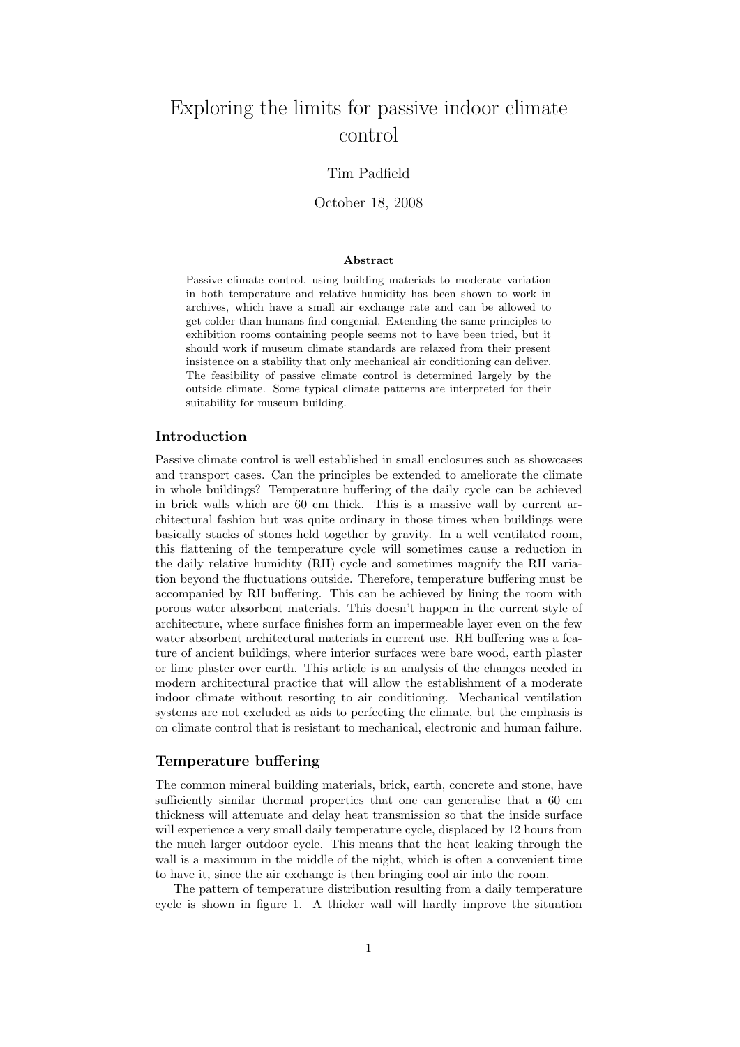# Exploring the limits for passive indoor climate control

# Tim Padfield

#### October 18, 2008

#### Abstract

Passive climate control, using building materials to moderate variation in both temperature and relative humidity has been shown to work in archives, which have a small air exchange rate and can be allowed to get colder than humans find congenial. Extending the same principles to exhibition rooms containing people seems not to have been tried, but it should work if museum climate standards are relaxed from their present insistence on a stability that only mechanical air conditioning can deliver. The feasibility of passive climate control is determined largely by the outside climate. Some typical climate patterns are interpreted for their suitability for museum building.

## Introduction

Passive climate control is well established in small enclosures such as showcases and transport cases. Can the principles be extended to ameliorate the climate in whole buildings? Temperature buffering of the daily cycle can be achieved in brick walls which are 60 cm thick. This is a massive wall by current architectural fashion but was quite ordinary in those times when buildings were basically stacks of stones held together by gravity. In a well ventilated room, this flattening of the temperature cycle will sometimes cause a reduction in the daily relative humidity (RH) cycle and sometimes magnify the RH variation beyond the fluctuations outside. Therefore, temperature buffering must be accompanied by RH buffering. This can be achieved by lining the room with porous water absorbent materials. This doesn't happen in the current style of architecture, where surface finishes form an impermeable layer even on the few water absorbent architectural materials in current use. RH buffering was a feature of ancient buildings, where interior surfaces were bare wood, earth plaster or lime plaster over earth. This article is an analysis of the changes needed in modern architectural practice that will allow the establishment of a moderate indoor climate without resorting to air conditioning. Mechanical ventilation systems are not excluded as aids to perfecting the climate, but the emphasis is on climate control that is resistant to mechanical, electronic and human failure.

#### Temperature buffering

The common mineral building materials, brick, earth, concrete and stone, have sufficiently similar thermal properties that one can generalise that a 60 cm thickness will attenuate and delay heat transmission so that the inside surface will experience a very small daily temperature cycle, displaced by 12 hours from the much larger outdoor cycle. This means that the heat leaking through the wall is a maximum in the middle of the night, which is often a convenient time to have it, since the air exchange is then bringing cool air into the room.

The pattern of temperature distribution resulting from a daily temperature cycle is shown in figure 1. A thicker wall will hardly improve the situation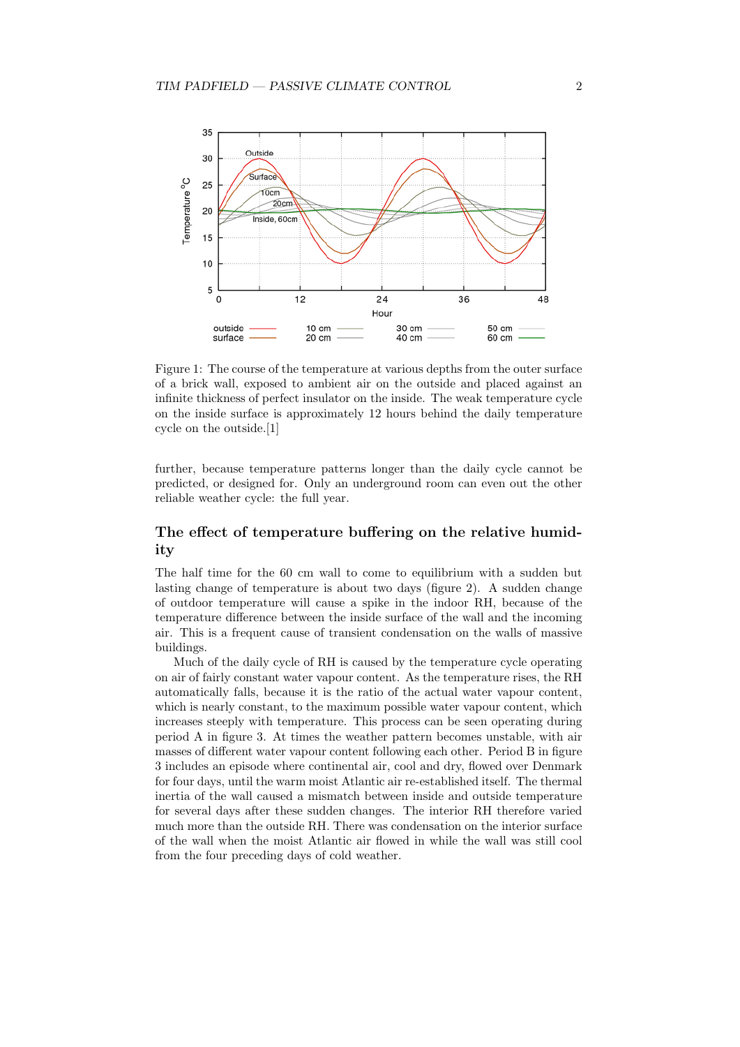

Figure 1: The course of the temperature at various depths from the outer surface of a brick wall, exposed to ambient air on the outside and placed against an infinite thickness of perfect insulator on the inside. The weak temperature cycle on the inside surface is approximately 12 hours behind the daily temperature cycle on the outside.[1]

further, because temperature patterns longer than the daily cycle cannot be predicted, or designed for. Only an underground room can even out the other reliable weather cycle: the full year.

## The effect of temperature buffering on the relative humidity

The half time for the 60 cm wall to come to equilibrium with a sudden but lasting change of temperature is about two days (figure 2). A sudden change of outdoor temperature will cause a spike in the indoor RH, because of the temperature difference between the inside surface of the wall and the incoming air. This is a frequent cause of transient condensation on the walls of massive buildings.

Much of the daily cycle of RH is caused by the temperature cycle operating on air of fairly constant water vapour content. As the temperature rises, the RH automatically falls, because it is the ratio of the actual water vapour content, which is nearly constant, to the maximum possible water vapour content, which increases steeply with temperature. This process can be seen operating during period A in figure 3. At times the weather pattern becomes unstable, with air masses of different water vapour content following each other. Period B in figure 3 includes an episode where continental air, cool and dry, flowed over Denmark for four days, until the warm moist Atlantic air re-established itself. The thermal inertia of the wall caused a mismatch between inside and outside temperature for several days after these sudden changes. The interior RH therefore varied much more than the outside RH. There was condensation on the interior surface of the wall when the moist Atlantic air flowed in while the wall was still cool from the four preceding days of cold weather.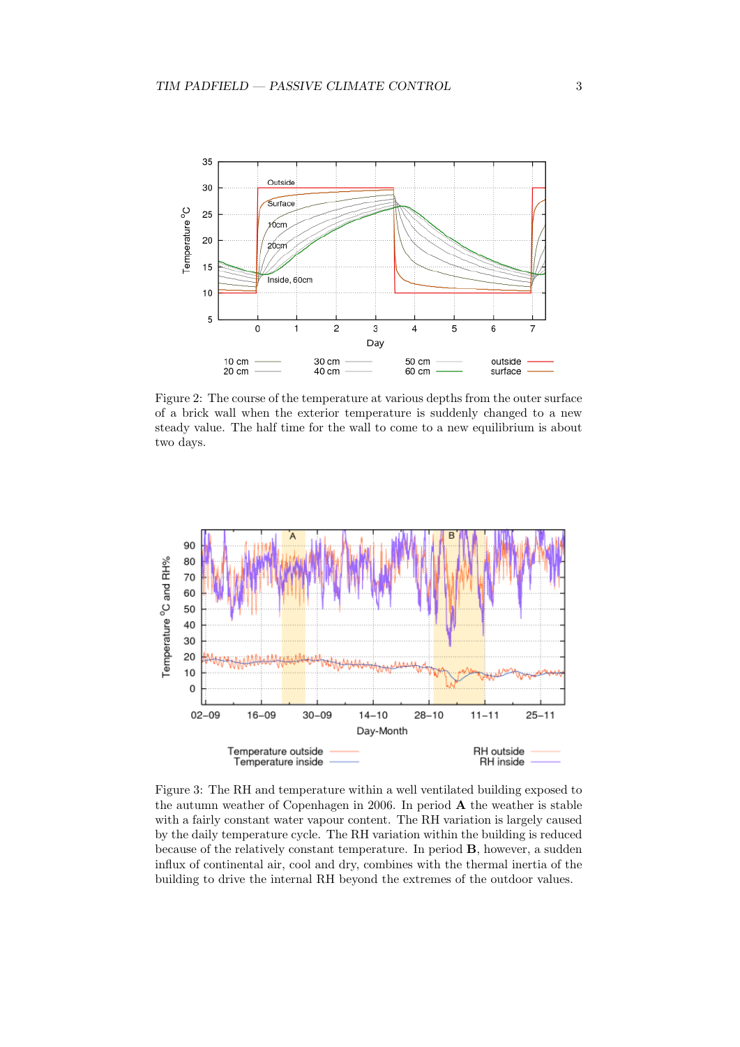

Figure 2: The course of the temperature at various depths from the outer surface of a brick wall when the exterior temperature is suddenly changed to a new steady value. The half time for the wall to come to a new equilibrium is about two days.



Figure 3: The RH and temperature within a well ventilated building exposed to the autumn weather of Copenhagen in 2006. In period A the weather is stable with a fairly constant water vapour content. The RH variation is largely caused by the daily temperature cycle. The RH variation within the building is reduced because of the relatively constant temperature. In period B, however, a sudden influx of continental air, cool and dry, combines with the thermal inertia of the building to drive the internal RH beyond the extremes of the outdoor values.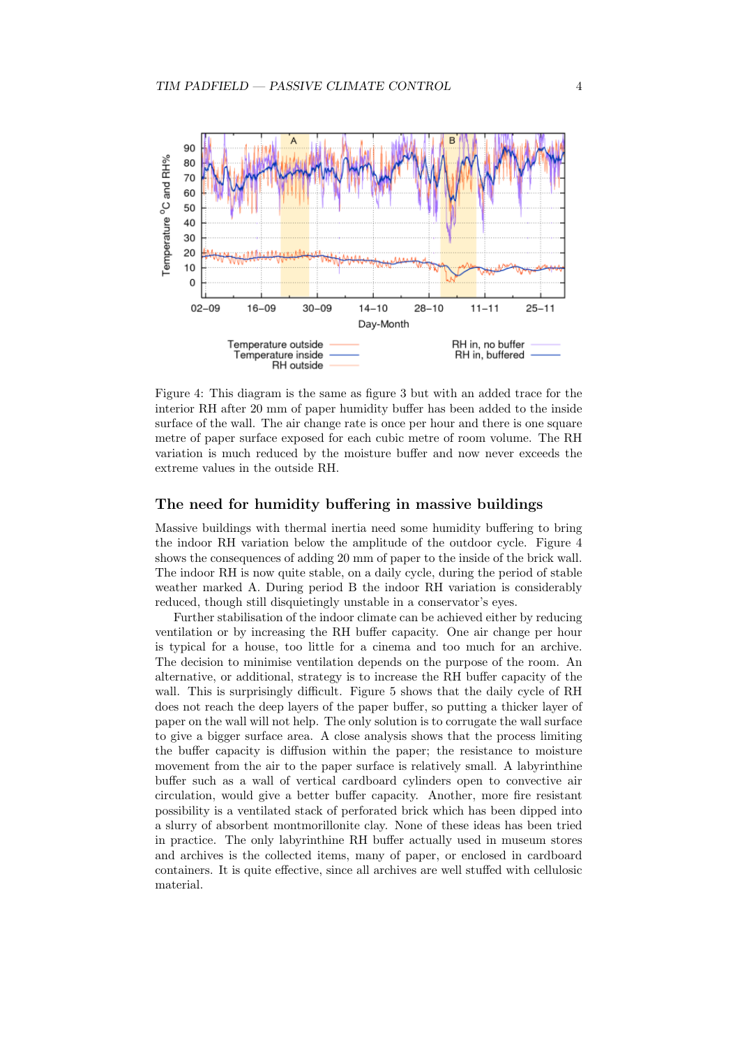

Figure 4: This diagram is the same as figure 3 but with an added trace for the interior RH after 20 mm of paper humidity buffer has been added to the inside surface of the wall. The air change rate is once per hour and there is one square metre of paper surface exposed for each cubic metre of room volume. The RH variation is much reduced by the moisture buffer and now never exceeds the extreme values in the outside RH.

## The need for humidity buffering in massive buildings

Massive buildings with thermal inertia need some humidity buffering to bring the indoor RH variation below the amplitude of the outdoor cycle. Figure 4 shows the consequences of adding 20 mm of paper to the inside of the brick wall. The indoor RH is now quite stable, on a daily cycle, during the period of stable weather marked A. During period B the indoor RH variation is considerably reduced, though still disquietingly unstable in a conservator's eyes.

Further stabilisation of the indoor climate can be achieved either by reducing ventilation or by increasing the RH buffer capacity. One air change per hour is typical for a house, too little for a cinema and too much for an archive. The decision to minimise ventilation depends on the purpose of the room. An alternative, or additional, strategy is to increase the RH buffer capacity of the wall. This is surprisingly difficult. Figure 5 shows that the daily cycle of RH does not reach the deep layers of the paper buffer, so putting a thicker layer of paper on the wall will not help. The only solution is to corrugate the wall surface to give a bigger surface area. A close analysis shows that the process limiting the buffer capacity is diffusion within the paper; the resistance to moisture movement from the air to the paper surface is relatively small. A labyrinthine buffer such as a wall of vertical cardboard cylinders open to convective air circulation, would give a better buffer capacity. Another, more fire resistant possibility is a ventilated stack of perforated brick which has been dipped into a slurry of absorbent montmorillonite clay. None of these ideas has been tried in practice. The only labyrinthine RH buffer actually used in museum stores and archives is the collected items, many of paper, or enclosed in cardboard containers. It is quite effective, since all archives are well stuffed with cellulosic material.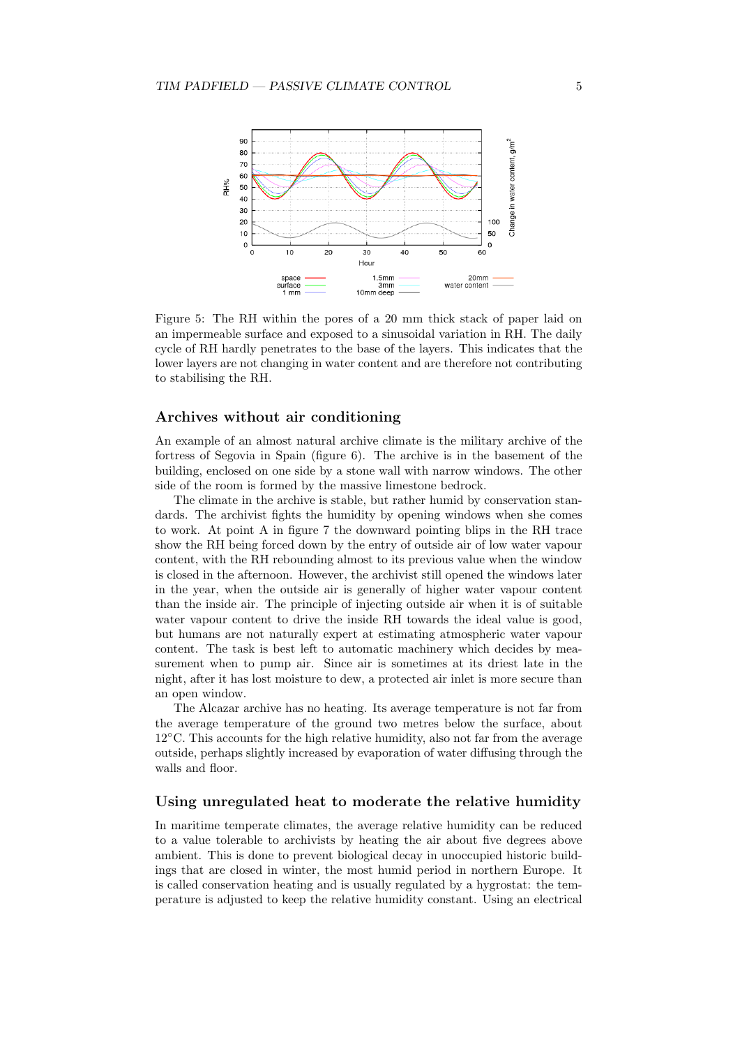

Figure 5: The RH within the pores of a 20 mm thick stack of paper laid on an impermeable surface and exposed to a sinusoidal variation in RH. The daily cycle of RH hardly penetrates to the base of the layers. This indicates that the lower layers are not changing in water content and are therefore not contributing to stabilising the RH.

## Archives without air conditioning

An example of an almost natural archive climate is the military archive of the fortress of Segovia in Spain (figure 6). The archive is in the basement of the building, enclosed on one side by a stone wall with narrow windows. The other side of the room is formed by the massive limestone bedrock.

The climate in the archive is stable, but rather humid by conservation standards. The archivist fights the humidity by opening windows when she comes to work. At point A in figure 7 the downward pointing blips in the RH trace show the RH being forced down by the entry of outside air of low water vapour content, with the RH rebounding almost to its previous value when the window is closed in the afternoon. However, the archivist still opened the windows later in the year, when the outside air is generally of higher water vapour content than the inside air. The principle of injecting outside air when it is of suitable water vapour content to drive the inside RH towards the ideal value is good, but humans are not naturally expert at estimating atmospheric water vapour content. The task is best left to automatic machinery which decides by measurement when to pump air. Since air is sometimes at its driest late in the night, after it has lost moisture to dew, a protected air inlet is more secure than an open window.

The Alcazar archive has no heating. Its average temperature is not far from the average temperature of the ground two metres below the surface, about  $12^{\circ}$ C. This accounts for the high relative humidity, also not far from the average outside, perhaps slightly increased by evaporation of water diffusing through the walls and floor.

## Using unregulated heat to moderate the relative humidity

In maritime temperate climates, the average relative humidity can be reduced to a value tolerable to archivists by heating the air about five degrees above ambient. This is done to prevent biological decay in unoccupied historic buildings that are closed in winter, the most humid period in northern Europe. It is called conservation heating and is usually regulated by a hygrostat: the temperature is adjusted to keep the relative humidity constant. Using an electrical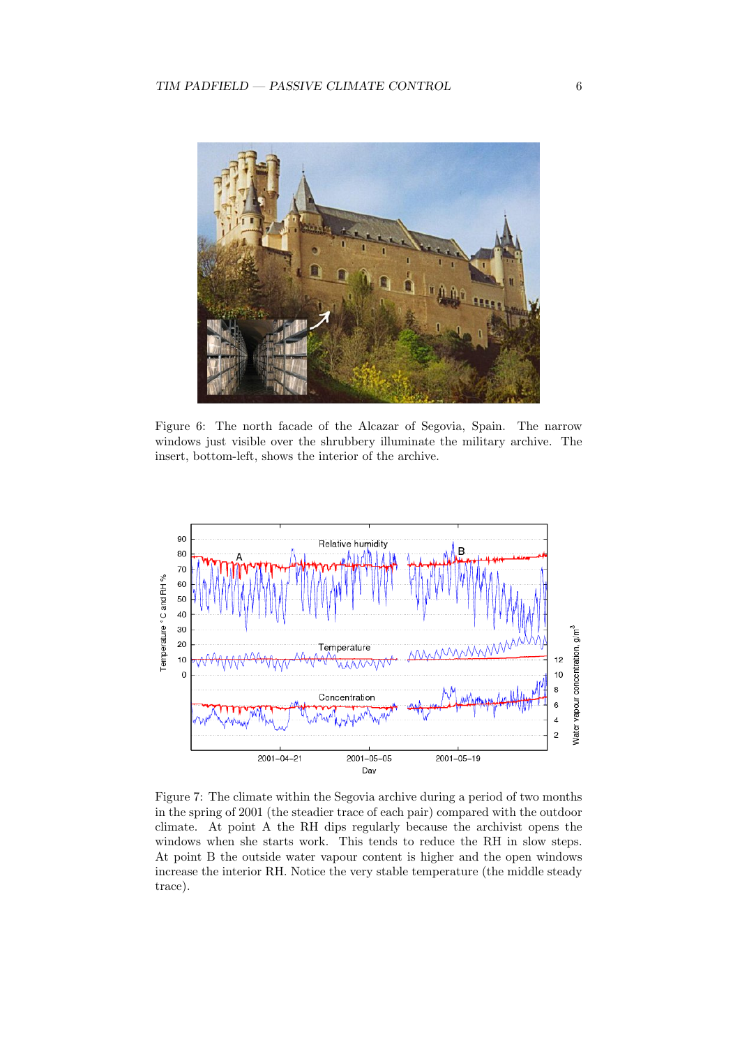

Figure 6: The north facade of the Alcazar of Segovia, Spain. The narrow windows just visible over the shrubbery illuminate the military archive. The insert, bottom-left, shows the interior of the archive.



Figure 7: The climate within the Segovia archive during a period of two months in the spring of 2001 (the steadier trace of each pair) compared with the outdoor climate. At point A the RH dips regularly because the archivist opens the windows when she starts work. This tends to reduce the RH in slow steps. At point B the outside water vapour content is higher and the open windows increase the interior RH. Notice the very stable temperature (the middle steady trace).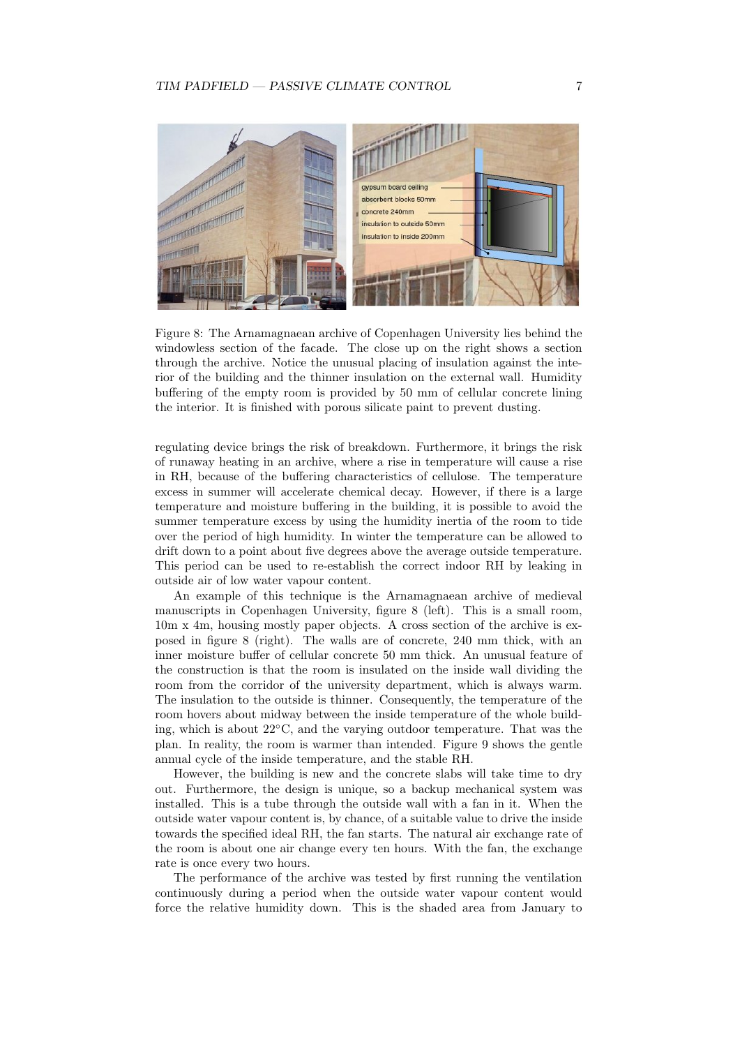

Figure 8: The Arnamagnaean archive of Copenhagen University lies behind the windowless section of the facade. The close up on the right shows a section through the archive. Notice the unusual placing of insulation against the interior of the building and the thinner insulation on the external wall. Humidity buffering of the empty room is provided by 50 mm of cellular concrete lining the interior. It is finished with porous silicate paint to prevent dusting.

regulating device brings the risk of breakdown. Furthermore, it brings the risk of runaway heating in an archive, where a rise in temperature will cause a rise in RH, because of the buffering characteristics of cellulose. The temperature excess in summer will accelerate chemical decay. However, if there is a large temperature and moisture buffering in the building, it is possible to avoid the summer temperature excess by using the humidity inertia of the room to tide over the period of high humidity. In winter the temperature can be allowed to drift down to a point about five degrees above the average outside temperature. This period can be used to re-establish the correct indoor RH by leaking in outside air of low water vapour content.

An example of this technique is the Arnamagnaean archive of medieval manuscripts in Copenhagen University, figure 8 (left). This is a small room, 10m x 4m, housing mostly paper objects. A cross section of the archive is exposed in figure 8 (right). The walls are of concrete, 240 mm thick, with an inner moisture buffer of cellular concrete 50 mm thick. An unusual feature of the construction is that the room is insulated on the inside wall dividing the room from the corridor of the university department, which is always warm. The insulation to the outside is thinner. Consequently, the temperature of the room hovers about midway between the inside temperature of the whole building, which is about 22◦C, and the varying outdoor temperature. That was the plan. In reality, the room is warmer than intended. Figure 9 shows the gentle annual cycle of the inside temperature, and the stable RH.

However, the building is new and the concrete slabs will take time to dry out. Furthermore, the design is unique, so a backup mechanical system was installed. This is a tube through the outside wall with a fan in it. When the outside water vapour content is, by chance, of a suitable value to drive the inside towards the specified ideal RH, the fan starts. The natural air exchange rate of the room is about one air change every ten hours. With the fan, the exchange rate is once every two hours.

The performance of the archive was tested by first running the ventilation continuously during a period when the outside water vapour content would force the relative humidity down. This is the shaded area from January to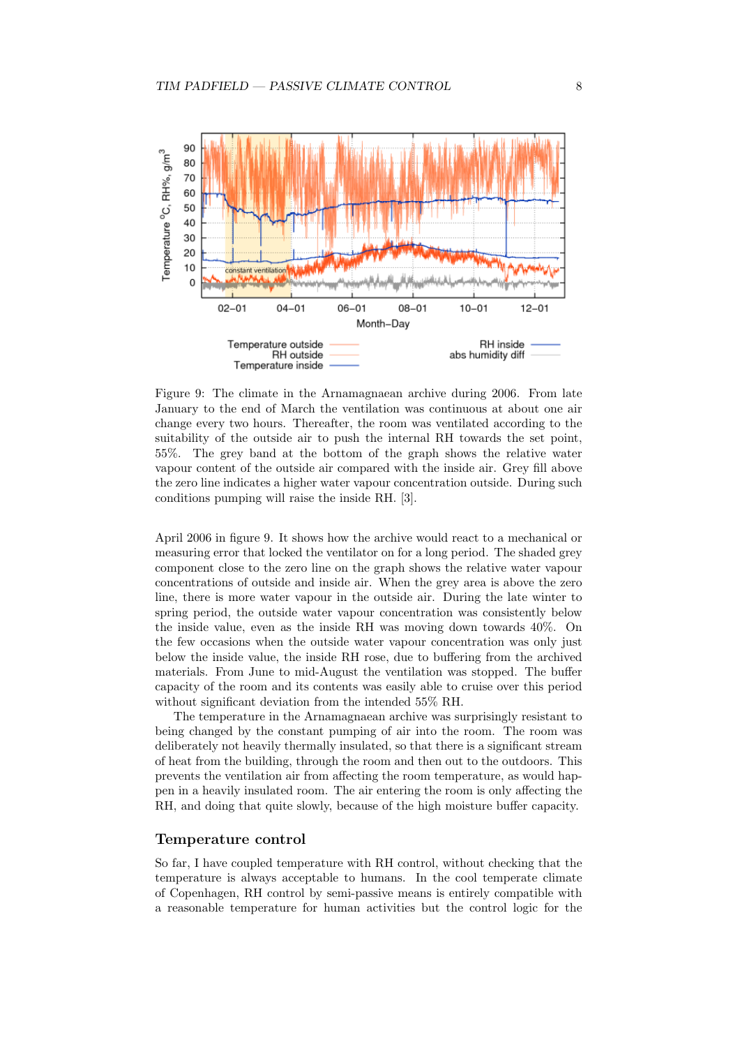

Figure 9: The climate in the Arnamagnaean archive during 2006. From late January to the end of March the ventilation was continuous at about one air change every two hours. Thereafter, the room was ventilated according to the suitability of the outside air to push the internal RH towards the set point, 55%. The grey band at the bottom of the graph shows the relative water vapour content of the outside air compared with the inside air. Grey fill above the zero line indicates a higher water vapour concentration outside. During such conditions pumping will raise the inside RH. [3].

April 2006 in figure 9. It shows how the archive would react to a mechanical or measuring error that locked the ventilator on for a long period. The shaded grey component close to the zero line on the graph shows the relative water vapour concentrations of outside and inside air. When the grey area is above the zero line, there is more water vapour in the outside air. During the late winter to spring period, the outside water vapour concentration was consistently below the inside value, even as the inside RH was moving down towards 40%. On the few occasions when the outside water vapour concentration was only just below the inside value, the inside RH rose, due to buffering from the archived materials. From June to mid-August the ventilation was stopped. The buffer capacity of the room and its contents was easily able to cruise over this period without significant deviation from the intended 55% RH.

The temperature in the Arnamagnaean archive was surprisingly resistant to being changed by the constant pumping of air into the room. The room was deliberately not heavily thermally insulated, so that there is a significant stream of heat from the building, through the room and then out to the outdoors. This prevents the ventilation air from affecting the room temperature, as would happen in a heavily insulated room. The air entering the room is only affecting the RH, and doing that quite slowly, because of the high moisture buffer capacity.

## Temperature control

So far, I have coupled temperature with RH control, without checking that the temperature is always acceptable to humans. In the cool temperate climate of Copenhagen, RH control by semi-passive means is entirely compatible with a reasonable temperature for human activities but the control logic for the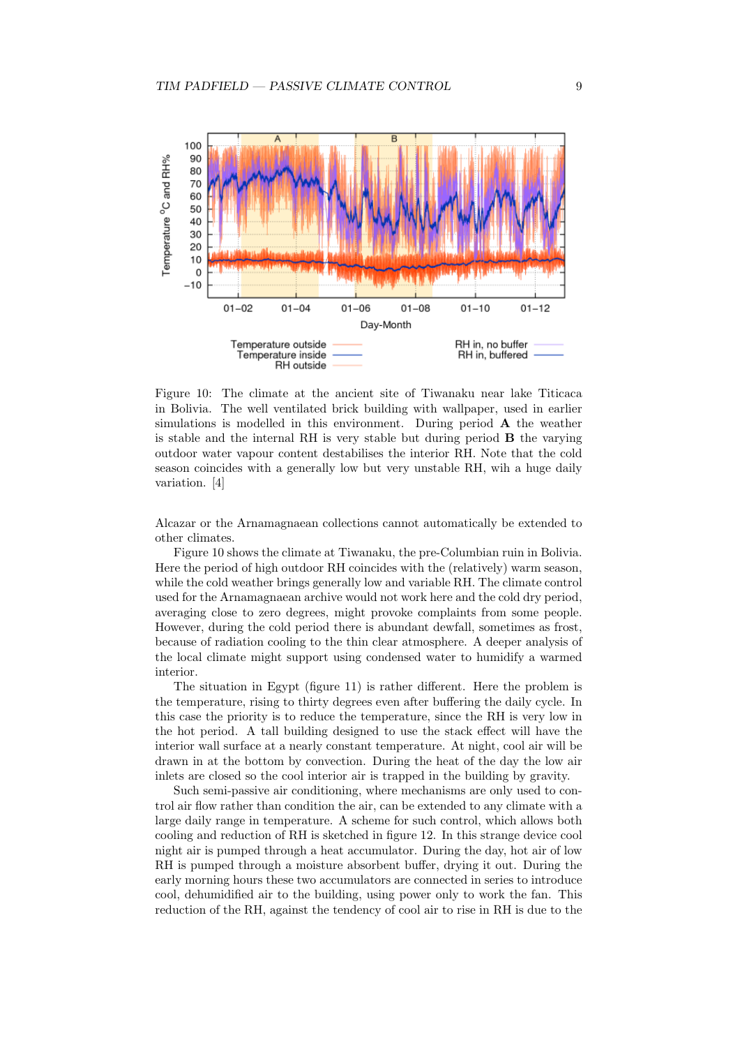

Figure 10: The climate at the ancient site of Tiwanaku near lake Titicaca in Bolivia. The well ventilated brick building with wallpaper, used in earlier simulations is modelled in this environment. During period A the weather is stable and the internal RH is very stable but during period B the varying outdoor water vapour content destabilises the interior RH. Note that the cold season coincides with a generally low but very unstable RH, wih a huge daily variation. [4]

Alcazar or the Arnamagnaean collections cannot automatically be extended to other climates.

Figure 10 shows the climate at Tiwanaku, the pre-Columbian ruin in Bolivia. Here the period of high outdoor RH coincides with the (relatively) warm season, while the cold weather brings generally low and variable RH. The climate control used for the Arnamagnaean archive would not work here and the cold dry period, averaging close to zero degrees, might provoke complaints from some people. However, during the cold period there is abundant dewfall, sometimes as frost, because of radiation cooling to the thin clear atmosphere. A deeper analysis of the local climate might support using condensed water to humidify a warmed interior.

The situation in Egypt (figure 11) is rather different. Here the problem is the temperature, rising to thirty degrees even after buffering the daily cycle. In this case the priority is to reduce the temperature, since the RH is very low in the hot period. A tall building designed to use the stack effect will have the interior wall surface at a nearly constant temperature. At night, cool air will be drawn in at the bottom by convection. During the heat of the day the low air inlets are closed so the cool interior air is trapped in the building by gravity.

Such semi-passive air conditioning, where mechanisms are only used to control air flow rather than condition the air, can be extended to any climate with a large daily range in temperature. A scheme for such control, which allows both cooling and reduction of RH is sketched in figure 12. In this strange device cool night air is pumped through a heat accumulator. During the day, hot air of low RH is pumped through a moisture absorbent buffer, drying it out. During the early morning hours these two accumulators are connected in series to introduce cool, dehumidified air to the building, using power only to work the fan. This reduction of the RH, against the tendency of cool air to rise in RH is due to the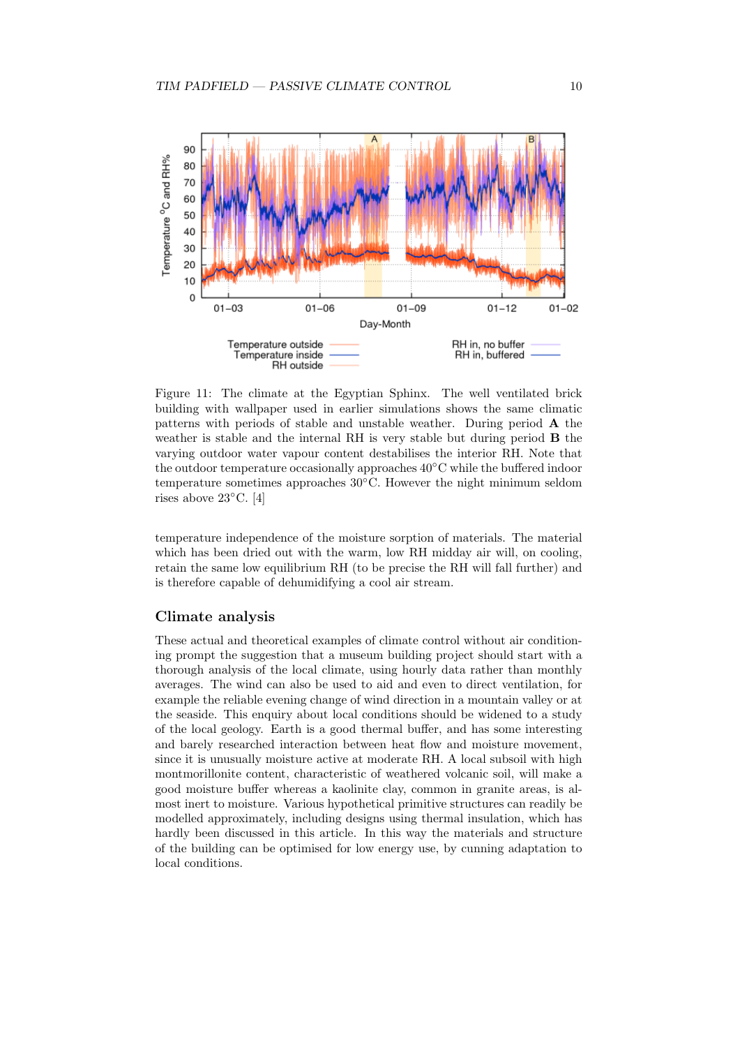

Figure 11: The climate at the Egyptian Sphinx. The well ventilated brick building with wallpaper used in earlier simulations shows the same climatic patterns with periods of stable and unstable weather. During period A the weather is stable and the internal RH is very stable but during period B the varying outdoor water vapour content destabilises the interior RH. Note that the outdoor temperature occasionally approaches 40◦C while the buffered indoor temperature sometimes approaches 30◦C. However the night minimum seldom rises above 23◦C. [4]

temperature independence of the moisture sorption of materials. The material which has been dried out with the warm, low RH midday air will, on cooling, retain the same low equilibrium RH (to be precise the RH will fall further) and is therefore capable of dehumidifying a cool air stream.

## Climate analysis

These actual and theoretical examples of climate control without air conditioning prompt the suggestion that a museum building project should start with a thorough analysis of the local climate, using hourly data rather than monthly averages. The wind can also be used to aid and even to direct ventilation, for example the reliable evening change of wind direction in a mountain valley or at the seaside. This enquiry about local conditions should be widened to a study of the local geology. Earth is a good thermal buffer, and has some interesting and barely researched interaction between heat flow and moisture movement, since it is unusually moisture active at moderate RH. A local subsoil with high montmorillonite content, characteristic of weathered volcanic soil, will make a good moisture buffer whereas a kaolinite clay, common in granite areas, is almost inert to moisture. Various hypothetical primitive structures can readily be modelled approximately, including designs using thermal insulation, which has hardly been discussed in this article. In this way the materials and structure of the building can be optimised for low energy use, by cunning adaptation to local conditions.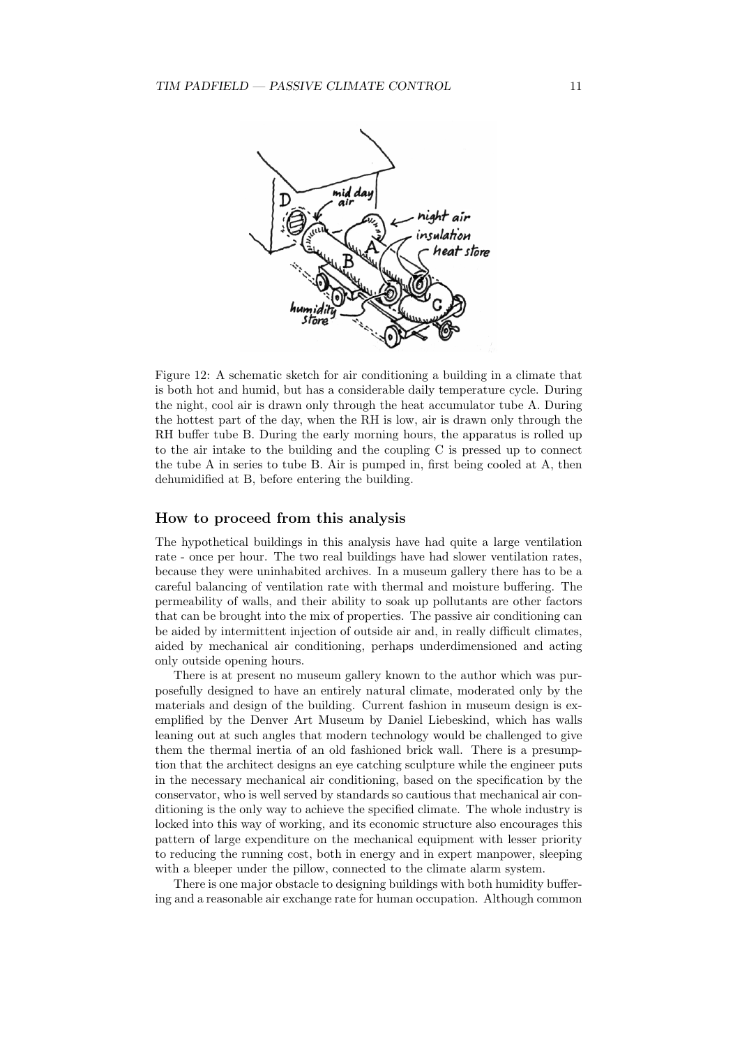

Figure 12: A schematic sketch for air conditioning a building in a climate that is both hot and humid, but has a considerable daily temperature cycle. During the night, cool air is drawn only through the heat accumulator tube A. During the hottest part of the day, when the RH is low, air is drawn only through the RH buffer tube B. During the early morning hours, the apparatus is rolled up to the air intake to the building and the coupling C is pressed up to connect the tube A in series to tube B. Air is pumped in, first being cooled at A, then dehumidified at B, before entering the building.

## How to proceed from this analysis

The hypothetical buildings in this analysis have had quite a large ventilation rate - once per hour. The two real buildings have had slower ventilation rates, because they were uninhabited archives. In a museum gallery there has to be a careful balancing of ventilation rate with thermal and moisture buffering. The permeability of walls, and their ability to soak up pollutants are other factors that can be brought into the mix of properties. The passive air conditioning can be aided by intermittent injection of outside air and, in really difficult climates, aided by mechanical air conditioning, perhaps underdimensioned and acting only outside opening hours.

There is at present no museum gallery known to the author which was purposefully designed to have an entirely natural climate, moderated only by the materials and design of the building. Current fashion in museum design is exemplified by the Denver Art Museum by Daniel Liebeskind, which has walls leaning out at such angles that modern technology would be challenged to give them the thermal inertia of an old fashioned brick wall. There is a presumption that the architect designs an eye catching sculpture while the engineer puts in the necessary mechanical air conditioning, based on the specification by the conservator, who is well served by standards so cautious that mechanical air conditioning is the only way to achieve the specified climate. The whole industry is locked into this way of working, and its economic structure also encourages this pattern of large expenditure on the mechanical equipment with lesser priority to reducing the running cost, both in energy and in expert manpower, sleeping with a bleeper under the pillow, connected to the climate alarm system.

There is one major obstacle to designing buildings with both humidity buffering and a reasonable air exchange rate for human occupation. Although common